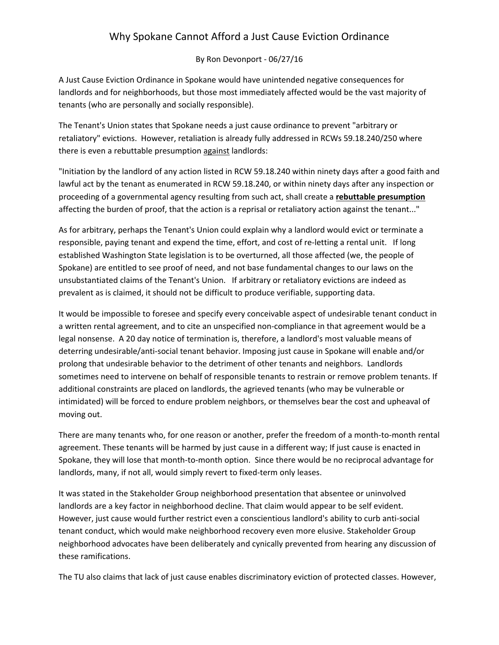## Why Spokane Cannot Afford a Just Cause Eviction Ordinance

By Ron Devonport ‐ 06/27/16

A Just Cause Eviction Ordinance in Spokane would have unintended negative consequences for landlords and for neighborhoods, but those most immediately affected would be the vast majority of tenants (who are personally and socially responsible).

The Tenant's Union states that Spokane needs a just cause ordinance to prevent "arbitrary or retaliatory" evictions. However, retaliation is already fully addressed in RCWs 59.18.240/250 where there is even a rebuttable presumption against landlords:

"Initiation by the landlord of any action listed in RCW 59.18.240 within ninety days after a good faith and lawful act by the tenant as enumerated in RCW 59.18.240, or within ninety days after any inspection or proceeding of a governmental agency resulting from such act, shall create a **rebuttable presumption** affecting the burden of proof, that the action is a reprisal or retaliatory action against the tenant..."

As for arbitrary, perhaps the Tenant's Union could explain why a landlord would evict or terminate a responsible, paying tenant and expend the time, effort, and cost of re‐letting a rental unit. If long established Washington State legislation is to be overturned, all those affected (we, the people of Spokane) are entitled to see proof of need, and not base fundamental changes to our laws on the unsubstantiated claims of the Tenant's Union. If arbitrary or retaliatory evictions are indeed as prevalent as is claimed, it should not be difficult to produce verifiable, supporting data.

It would be impossible to foresee and specify every conceivable aspect of undesirable tenant conduct in a written rental agreement, and to cite an unspecified non‐compliance in that agreement would be a legal nonsense. A 20 day notice of termination is, therefore, a landlord's most valuable means of deterring undesirable/anti‐social tenant behavior. Imposing just cause in Spokane will enable and/or prolong that undesirable behavior to the detriment of other tenants and neighbors. Landlords sometimes need to intervene on behalf of responsible tenants to restrain or remove problem tenants. If additional constraints are placed on landlords, the agrieved tenants (who may be vulnerable or intimidated) will be forced to endure problem neighbors, or themselves bear the cost and upheaval of moving out.

There are many tenants who, for one reason or another, prefer the freedom of a month-to-month rental agreement. These tenants will be harmed by just cause in a different way; If just cause is enacted in Spokane, they will lose that month‐to‐month option. Since there would be no reciprocal advantage for landlords, many, if not all, would simply revert to fixed‐term only leases.

It was stated in the Stakeholder Group neighborhood presentation that absentee or uninvolved landlords are a key factor in neighborhood decline. That claim would appear to be self evident. However, just cause would further restrict even a conscientious landlord's ability to curb anti‐social tenant conduct, which would make neighborhood recovery even more elusive. Stakeholder Group neighborhood advocates have been deliberately and cynically prevented from hearing any discussion of these ramifications.

The TU also claims that lack of just cause enables discriminatory eviction of protected classes. However,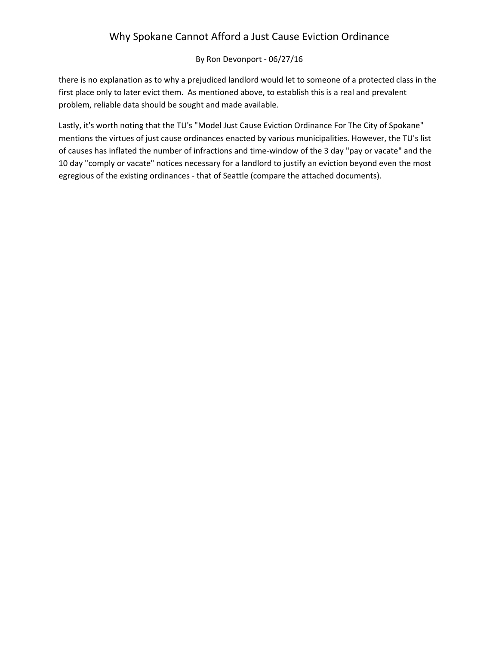## Why Spokane Cannot Afford a Just Cause Eviction Ordinance

#### By Ron Devonport ‐ 06/27/16

there is no explanation as to why a prejudiced landlord would let to someone of a protected class in the first place only to later evict them. As mentioned above, to establish this is a real and prevalent problem, reliable data should be sought and made available.

Lastly, it's worth noting that the TU's "Model Just Cause Eviction Ordinance For The City of Spokane" mentions the virtues of just cause ordinances enacted by various municipalities. However, the TU's list of causes has inflated the number of infractions and time‐window of the 3 day "pay or vacate" and the 10 day "comply or vacate" notices necessary for a landlord to justify an eviction beyond even the most egregious of the existing ordinances ‐ that of Seattle (compare the attached documents).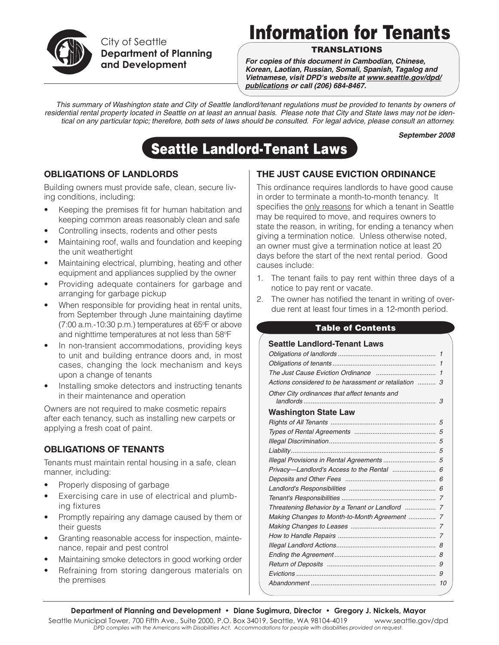

City of Seattle **Department of Planning and Development**

# Information for Tenants

## **TRANSLATIONS**

*For copies of this document in Cambodian, Chinese, Korean, Laotian, Russian, Somali, Spanish, Tagalog and Vietnamese, visit DPD's website at www.seattle.gov/dpd/ publications or call (206) 684-8467.*

*This summary of Washington state and City of Seattle landlord/tenant regulations must be provided to tenants by owners of residential rental property located in Seattle on at least an annual basis. Please note that City and State laws may not be identical on any particular topic; therefore, both sets of laws should be consulted. For legal advice, please consult an attorney.*

*September 2008*

## Seattle Landlord-Tenant Laws

## **OBLIGATIONS OF LANDLORDS**

Building owners must provide safe, clean, secure living conditions, including:

- Keeping the premises fit for human habitation and keeping common areas reasonably clean and safe
- Controlling insects, rodents and other pests
- Maintaining roof, walls and foundation and keeping the unit weathertight
- Maintaining electrical, plumbing, heating and other equipment and appliances supplied by the owner
- Providing adequate containers for garbage and arranging for garbage pickup
- When responsible for providing heat in rental units, from September through June maintaining daytime (7:00 a.m.-10:30 p.m.) temperatures at 65°F or above and nighttime temperatures at not less than 58°F
- In non-transient accommodations, providing keys to unit and building entrance doors and, in most cases, changing the lock mechanism and keys upon a change of tenants
- Installing smoke detectors and instructing tenants in their maintenance and operation

Owners are not required to make cosmetic repairs after each tenancy, such as installing new carpets or applying a fresh coat of paint.

## **OBLIGATIONS OF TENANTS**

Tenants must maintain rental housing in a safe, clean manner, including:

- Properly disposing of garbage
- Exercising care in use of electrical and plumbing fixtures
- Promptly repairing any damage caused by them or their guests
- Granting reasonable access for inspection, maintenance, repair and pest control
- Maintaining smoke detectors in good working order
- Refraining from storing dangerous materials on the premises

## **THE JUST CAUSE EVICTION ORDINANCE**

This ordinance requires landlords to have good cause in order to terminate a month-to-month tenancy. It specifies the only reasons for which a tenant in Seattle may be required to move, and requires owners to state the reason, in writing, for ending a tenancy when giving a termination notice. Unless otherwise noted, an owner must give a termination notice at least 20 days before the start of the next rental period. Good causes include:

- 1. The tenant fails to pay rent within three days of a notice to pay rent or vacate.
- 2. The owner has notified the tenant in writing of overdue rent at least four times in a 12-month period.

#### Table of Contents

| <b>Seattle Landlord-Tenant Laws</b>                   |              |
|-------------------------------------------------------|--------------|
|                                                       |              |
|                                                       | $\mathbf{1}$ |
|                                                       |              |
| Actions considered to be harassment or retaliation  3 |              |
| Other City ordinances that affect tenants and         | 3            |
| <b>Washington State Law</b>                           |              |
|                                                       |              |
|                                                       |              |
|                                                       |              |
|                                                       |              |
| Illegal Provisions in Rental Agreements  5            |              |
|                                                       |              |
|                                                       |              |
|                                                       |              |
|                                                       |              |
|                                                       |              |
| Making Changes to Month-to-Month Agreement  7         |              |
|                                                       |              |
|                                                       |              |
|                                                       |              |
|                                                       | 8            |
|                                                       | 9            |
|                                                       | 9            |
|                                                       | 10           |
|                                                       |              |

Seattle Municipal Tower, 700 Fifth Ave., Suite 2000, P.O. Box 34019, Seattle, WA 98104-4019 www.seattle.gov/dpd *DPD complies with the Americans with Disabilities Act. Accommodations for people with disabilities provided on request.*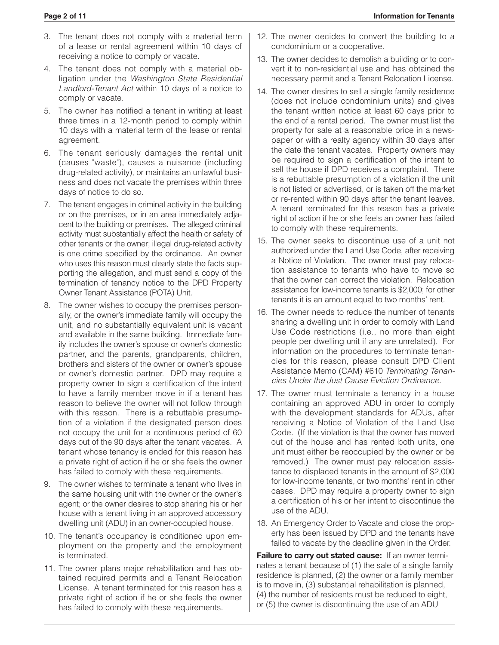- 3. The tenant does not comply with a material term of a lease or rental agreement within 10 days of receiving a notice to comply or vacate.
- 4. The tenant does not comply with a material obligation under the *Washington State Residential Landlord-Tenant Act* within 10 days of a notice to comply or vacate.
- 5. The owner has notified a tenant in writing at least three times in a 12-month period to comply within 10 days with a material term of the lease or rental agreement.
- 6. The tenant seriously damages the rental unit (causes "waste"), causes a nuisance (including drug-related activity), or maintains an unlawful business and does not vacate the premises within three days of notice to do so.
- 7. The tenant engages in criminal activity in the building or on the premises, or in an area immediately adjacent to the building or premises. The alleged criminal activity must substantially affect the health or safety of other tenants or the owner; illegal drug-related activity is one crime specified by the ordinance. An owner who uses this reason must clearly state the facts supporting the allegation, and must send a copy of the termination of tenancy notice to the DPD Property Owner Tenant Assistance (POTA) Unit.
- 8. The owner wishes to occupy the premises personally, or the owner's immediate family will occupy the unit, and no substantially equivalent unit is vacant and available in the same building. Immediate family includes the owner's spouse or owner's domestic partner, and the parents, grandparents, children, brothers and sisters of the owner or owner's spouse or owner's domestic partner. DPD may require a property owner to sign a certification of the intent to have a family member move in if a tenant has reason to believe the owner will not follow through with this reason. There is a rebuttable presumption of a violation if the designated person does not occupy the unit for a continuous period of 60 days out of the 90 days after the tenant vacates. A tenant whose tenancy is ended for this reason has a private right of action if he or she feels the owner has failed to comply with these requirements.
- 9. The owner wishes to terminate a tenant who lives in the same housing unit with the owner or the owner's agent; or the owner desires to stop sharing his or her house with a tenant living in an approved accessory dwelling unit (ADU) in an owner-occupied house.
- 10. The tenant's occupancy is conditioned upon employment on the property and the employment is terminated.
- 11. The owner plans major rehabilitation and has obtained required permits and a Tenant Relocation License. A tenant terminated for this reason has a private right of action if he or she feels the owner has failed to comply with these requirements.
- 12. The owner decides to convert the building to a condominium or a cooperative.
- 13. The owner decides to demolish a building or to convert it to non-residential use and has obtained the necessary permit and a Tenant Relocation License.
- 14. The owner desires to sell a single family residence (does not include condominium units) and gives the tenant written notice at least 60 days prior to the end of a rental period. The owner must list the property for sale at a reasonable price in a newspaper or with a realty agency within 30 days after the date the tenant vacates. Property owners may be required to sign a certification of the intent to sell the house if DPD receives a complaint. There is a rebuttable presumption of a violation if the unit is not listed or advertised, or is taken off the market or re-rented within 90 days after the tenant leaves. A tenant terminated for this reason has a private right of action if he or she feels an owner has failed to comply with these requirements.
- 15. The owner seeks to discontinue use of a unit not authorized under the Land Use Code, after receiving a Notice of Violation. The owner must pay relocation assistance to tenants who have to move so that the owner can correct the violation. Relocation assistance for low-income tenants is \$2,000; for other tenants it is an amount equal to two months' rent.
- 16. The owner needs to reduce the number of tenants sharing a dwelling unit in order to comply with Land Use Code restrictions (i.e., no more than eight people per dwelling unit if any are unrelated). For information on the procedures to terminate tenancies for this reason, please consult DPD Client Assistance Memo (CAM) #610 *Terminating Tenancies Under the Just Cause Eviction Ordinance*.
- 17. The owner must terminate a tenancy in a house containing an approved ADU in order to comply with the development standards for ADUs, after receiving a Notice of Violation of the Land Use Code. (If the violation is that the owner has moved out of the house and has rented both units, one unit must either be reoccupied by the owner or be removed.) The owner must pay relocation assistance to displaced tenants in the amount of \$2,000 for low-income tenants, or two months' rent in other cases. DPD may require a property owner to sign a certification of his or her intent to discontinue the use of the ADU.
- 18. An Emergency Order to Vacate and close the property has been issued by DPD and the tenants have failed to vacate by the deadline given in the Order.

**Failure to carry out stated cause:** If an owner terminates a tenant because of (1) the sale of a single family residence is planned, (2) the owner or a family member is to move in, (3) substantial rehabilitation is planned, (4) the number of residents must be reduced to eight, or (5) the owner is discontinuing the use of an ADU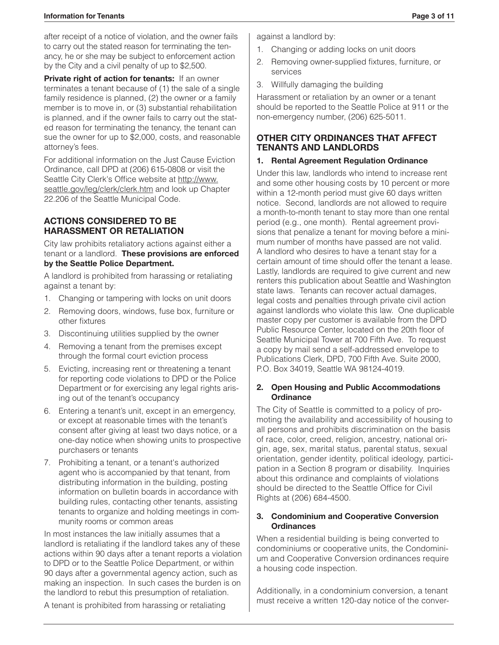after receipt of a notice of violation, and the owner fails to carry out the stated reason for terminating the tenancy, he or she may be subject to enforcement action by the City and a civil penalty of up to \$2,500.

**Private right of action for tenants:** If an owner terminates a tenant because of (1) the sale of a single family residence is planned, (2) the owner or a family member is to move in, or (3) substantial rehabilitation is planned, and if the owner fails to carry out the stated reason for terminating the tenancy, the tenant can sue the owner for up to \$2,000, costs, and reasonable attorney's fees.

For additional information on the Just Cause Eviction Ordinance, call DPD at (206) 615-0808 or visit the Seattle City Clerk's Office website at http://www. seattle.gov/leg/clerk/clerk.htm and look up Chapter 22.206 of the Seattle Municipal Code.

#### **ACTIONS CONSIDERED TO BE HARASSMENT OR RETALIATION**

City law prohibits retaliatory actions against either a tenant or a landlord. **These provisions are enforced by the Seattle Police Department.** 

A landlord is prohibited from harassing or retaliating against a tenant by:

- 1. Changing or tampering with locks on unit doors
- 2. Removing doors, windows, fuse box, furniture or other fixtures
- 3. Discontinuing utilities supplied by the owner
- 4. Removing a tenant from the premises except through the formal court eviction process
- 5. Evicting, increasing rent or threatening a tenant for reporting code violations to DPD or the Police Department or for exercising any legal rights arising out of the tenant's occupancy
- 6. Entering a tenant's unit, except in an emergency, or except at reasonable times with the tenant's consent after giving at least two days notice, or a one-day notice when showing units to prospective purchasers or tenants
- 7. Prohibiting a tenant, or a tenant's authorized agent who is accompanied by that tenant, from distributing information in the building, posting information on bulletin boards in accordance with building rules, contacting other tenants, assisting tenants to organize and holding meetings in community rooms or common areas

In most instances the law initially assumes that a landlord is retaliating if the landlord takes any of these actions within 90 days after a tenant reports a violation to DPD or to the Seattle Police Department, or within 90 days after a governmental agency action, such as making an inspection. In such cases the burden is on the landlord to rebut this presumption of retaliation.

against a landlord by:

- 1. Changing or adding locks on unit doors
- 2. Removing owner-supplied fixtures, furniture, or services
- 3. Willfully damaging the building

Harassment or retaliation by an owner or a tenant should be reported to the Seattle Police at 911 or the non-emergency number, (206) 625-5011.

#### **OTHER CITY ORDINANCES THAT AFFECT TENANTS AND LANDLORDS**

#### **1. Rental Agreement Regulation Ordinance**

Under this law, landlords who intend to increase rent and some other housing costs by 10 percent or more within a 12-month period must give 60 days written notice. Second, landlords are not allowed to require a month-to-month tenant to stay more than one rental period (e.g., one month). Rental agreement provisions that penalize a tenant for moving before a minimum number of months have passed are not valid. A landlord who desires to have a tenant stay for a certain amount of time should offer the tenant a lease. Lastly, landlords are required to give current and new renters this publication about Seattle and Washington state laws. Tenants can recover actual damages, legal costs and penalties through private civil action against landlords who violate this law. One duplicable master copy per customer is available from the DPD Public Resource Center, located on the 20th floor of Seattle Municipal Tower at 700 Fifth Ave. To request a copy by mail send a self-addressed envelope to Publications Clerk, DPD, 700 Fifth Ave. Suite 2000, P.O. Box 34019, Seattle WA 98124-4019.

#### **2. Open Housing and Public Accommodations Ordinance**

The City of Seattle is committed to a policy of promoting the availability and accessibility of housing to all persons and prohibits discrimination on the basis of race, color, creed, religion, ancestry, national origin, age, sex, marital status, parental status, sexual orientation, gender identity, political ideology, participation in a Section 8 program or disability. Inquiries about this ordinance and complaints of violations should be directed to the Seattle Office for Civil Rights at (206) 684-4500.

#### **3. Condominium and Cooperative Conversion Ordinances**

When a residential building is being converted to condominiums or cooperative units, the Condominium and Cooperative Conversion ordinances require a housing code inspection.

Additionally, in a condominium conversion, a tenant must receive a written 120-day notice of the conver-

A tenant is prohibited from harassing or retaliating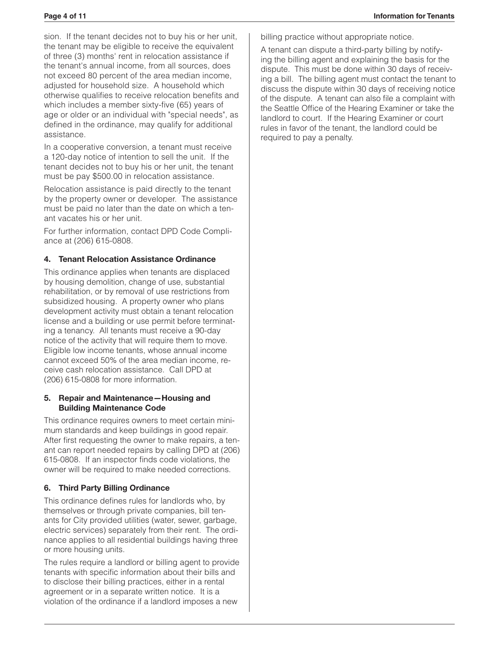sion. If the tenant decides not to buy his or her unit, the tenant may be eligible to receive the equivalent of three (3) months' rent in relocation assistance if the tenant's annual income, from all sources, does not exceed 80 percent of the area median income, adjusted for household size. A household which otherwise qualifies to receive relocation benefits and which includes a member sixty-five (65) years of age or older or an individual with "special needs", as defined in the ordinance, may qualify for additional assistance.

In a cooperative conversion, a tenant must receive a 120-day notice of intention to sell the unit. If the tenant decides not to buy his or her unit, the tenant must be pay \$500.00 in relocation assistance.

Relocation assistance is paid directly to the tenant by the property owner or developer. The assistance must be paid no later than the date on which a tenant vacates his or her unit.

For further information, contact DPD Code Compliance at (206) 615-0808.

#### **4. Tenant Relocation Assistance Ordinance**

This ordinance applies when tenants are displaced by housing demolition, change of use, substantial rehabilitation, or by removal of use restrictions from subsidized housing. A property owner who plans development activity must obtain a tenant relocation license and a building or use permit before terminating a tenancy. All tenants must receive a 90-day notice of the activity that will require them to move. Eligible low income tenants, whose annual income cannot exceed 50% of the area median income, receive cash relocation assistance. Call DPD at (206) 615-0808 for more information.

#### **5. Repair and Maintenance—Housing and Building Maintenance Code**

This ordinance requires owners to meet certain minimum standards and keep buildings in good repair. After first requesting the owner to make repairs, a tenant can report needed repairs by calling DPD at (206) 615-0808. If an inspector finds code violations, the owner will be required to make needed corrections.

## **6. Third Party Billing Ordinance**

This ordinance defines rules for landlords who, by themselves or through private companies, bill tenants for City provided utilities (water, sewer, garbage, electric services) separately from their rent. The ordinance applies to all residential buildings having three or more housing units.

The rules require a landlord or billing agent to provide tenants with specific information about their bills and to disclose their billing practices, either in a rental agreement or in a separate written notice. It is a violation of the ordinance if a landlord imposes a new

billing practice without appropriate notice.

A tenant can dispute a third-party billing by notifying the billing agent and explaining the basis for the dispute. This must be done within 30 days of receiving a bill. The billing agent must contact the tenant to discuss the dispute within 30 days of receiving notice of the dispute. A tenant can also file a complaint with the Seattle Office of the Hearing Examiner or take the landlord to court. If the Hearing Examiner or court rules in favor of the tenant, the landlord could be required to pay a penalty.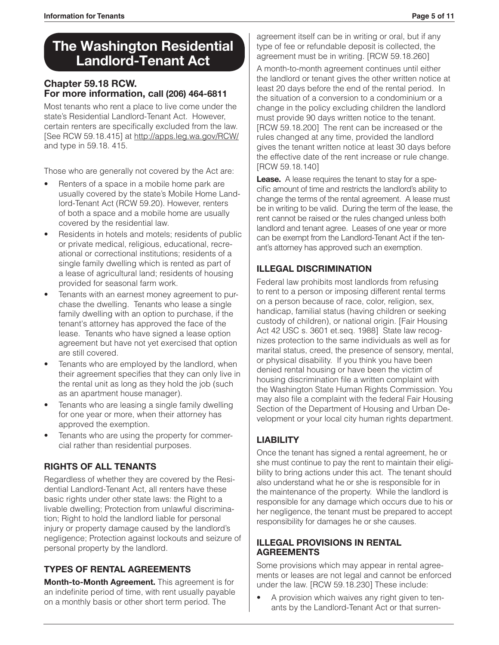## **The Washington Residential Landlord-Tenant Act**

## **Chapter 59.18 RCW. For more information, call (206) 464-6811**

Most tenants who rent a place to live come under the state's Residential Landlord-Tenant Act. However, certain renters are specifically excluded from the law. [See RCW 59.18.415] at http://apps.leg.wa.gov/RCW/ and type in 59.18. 415.

Those who are generally not covered by the Act are:

- Renters of a space in a mobile home park are usually covered by the state's Mobile Home Landlord-Tenant Act (RCW 59.20). However, renters of both a space and a mobile home are usually covered by the residential law.
- Residents in hotels and motels; residents of public or private medical, religious, educational, recreational or correctional institutions; residents of a single family dwelling which is rented as part of a lease of agricultural land; residents of housing provided for seasonal farm work.
- Tenants with an earnest money agreement to purchase the dwelling. Tenants who lease a single family dwelling with an option to purchase, if the tenant's attorney has approved the face of the lease. Tenants who have signed a lease option agreement but have not yet exercised that option are still covered.
- Tenants who are employed by the landlord, when their agreement specifies that they can only live in the rental unit as long as they hold the job (such as an apartment house manager).
- Tenants who are leasing a single family dwelling for one year or more, when their attorney has approved the exemption.
- Tenants who are using the property for commercial rather than residential purposes.

## **RIGHTS OF ALL TENANTS**

Regardless of whether they are covered by the Residential Landlord-Tenant Act, all renters have these basic rights under other state laws: the Right to a livable dwelling; Protection from unlawful discrimination; Right to hold the landlord liable for personal injury or property damage caused by the landlord's negligence; Protection against lockouts and seizure of personal property by the landlord.

## **TYPES OF RENTAL AGREEMENTS**

**Month-to-Month Agreement.** This agreement is for an indefinite period of time, with rent usually payable on a monthly basis or other short term period. The

agreement itself can be in writing or oral, but if any type of fee or refundable deposit is collected, the agreement must be in writing. [RCW 59.18.260]

A month-to-month agreement continues until either the landlord or tenant gives the other written notice at least 20 days before the end of the rental period. In the situation of a conversion to a condominium or a change in the policy excluding children the landlord must provide 90 days written notice to the tenant. [RCW 59.18.200] The rent can be increased or the rules changed at any time, provided the landlord gives the tenant written notice at least 30 days before the effective date of the rent increase or rule change. [RCW 59.18.140]

**Lease.** A lease requires the tenant to stay for a specific amount of time and restricts the landlord's ability to change the terms of the rental agreement. A lease must be in writing to be valid. During the term of the lease, the rent cannot be raised or the rules changed unless both landlord and tenant agree. Leases of one year or more can be exempt from the Landlord-Tenant Act if the tenant's attorney has approved such an exemption.

## **ILLEGAL DISCRIMINATION**

Federal law prohibits most landlords from refusing to rent to a person or imposing different rental terms on a person because of race, color, religion, sex, handicap, familial status (having children or seeking custody of children), or national origin. [Fair Housing Act 42 USC s. 3601 et.seq. 1988] State law recognizes protection to the same individuals as well as for marital status, creed, the presence of sensory, mental, or physical disability. If you think you have been denied rental housing or have been the victim of housing discrimination file a written complaint with the Washington State Human Rights Commission. You may also file a complaint with the federal Fair Housing Section of the Department of Housing and Urban Development or your local city human rights department.

## **LIABILITY**

Once the tenant has signed a rental agreement, he or she must continue to pay the rent to maintain their eligibility to bring actions under this act. The tenant should also understand what he or she is responsible for in the maintenance of the property. While the landlord is responsible for any damage which occurs due to his or her negligence, the tenant must be prepared to accept responsibility for damages he or she causes.

## **ILLEGAL PROVISIONS IN RENTAL AGREEMENTS**

Some provisions which may appear in rental agreements or leases are not legal and cannot be enforced under the law. [RCW 59.18.230] These include:

A provision which waives any right given to tenants by the Landlord-Tenant Act or that surren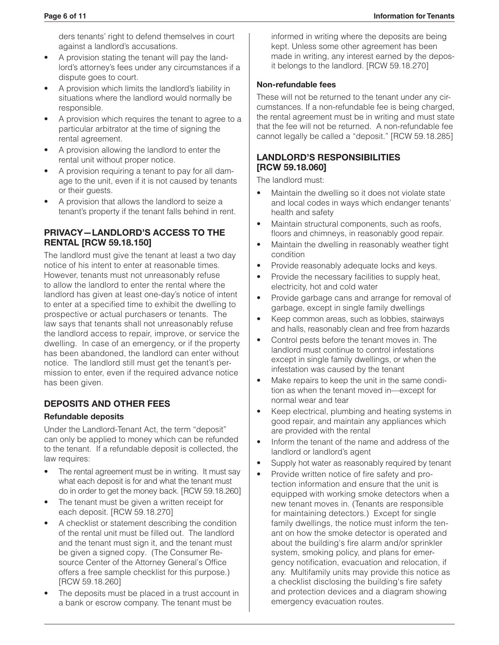ders tenants' right to defend themselves in court against a landlord's accusations.

- A provision stating the tenant will pay the landlord's attorney's fees under any circumstances if a dispute goes to court.
- A provision which limits the landlord's liability in situations where the landlord would normally be responsible.
- A provision which requires the tenant to agree to a particular arbitrator at the time of signing the rental agreement.
- A provision allowing the landlord to enter the rental unit without proper notice.
- A provision requiring a tenant to pay for all damage to the unit, even if it is not caused by tenants or their guests.
- A provision that allows the landlord to seize a tenant's property if the tenant falls behind in rent.

#### **PRIVACY—LANDLORD'S ACCESS TO THE RENTAL [RCW 59.18.150]**

The landlord must give the tenant at least a two day notice of his intent to enter at reasonable times. However, tenants must not unreasonably refuse to allow the landlord to enter the rental where the landlord has given at least one-day's notice of intent to enter at a specified time to exhibit the dwelling to prospective or actual purchasers or tenants. The law says that tenants shall not unreasonably refuse the landlord access to repair, improve, or service the dwelling. In case of an emergency, or if the property has been abandoned, the landlord can enter without notice. The landlord still must get the tenant's permission to enter, even if the required advance notice has been given.

## **DEPOSITS AND OTHER FEES**

#### **Refundable deposits**

Under the Landlord-Tenant Act, the term "deposit" can only be applied to money which can be refunded to the tenant. If a refundable deposit is collected, the law requires:

- The rental agreement must be in writing. It must say what each deposit is for and what the tenant must do in order to get the money back. [RCW 59.18.260]
- The tenant must be given a written receipt for each deposit. [RCW 59.18.270]
- A checklist or statement describing the condition of the rental unit must be filled out. The landlord and the tenant must sign it, and the tenant must be given a signed copy. (The Consumer Resource Center of the Attorney General's Office offers a free sample checklist for this purpose.) [RCW 59.18.260]
- The deposits must be placed in a trust account in a bank or escrow company. The tenant must be

informed in writing where the deposits are being kept. Unless some other agreement has been made in writing, any interest earned by the deposit belongs to the landlord. [RCW 59.18.270]

#### **Non-refundable fees**

These will not be returned to the tenant under any circumstances. If a non-refundable fee is being charged, the rental agreement must be in writing and must state that the fee will not be returned. A non-refundable fee cannot legally be called a "deposit." [RCW 59.18.285]

#### **LANDLORD'S RESPONSIBILITIES [RCW 59.18.060]**

The landlord must:

- Maintain the dwelling so it does not violate state and local codes in ways which endanger tenants' health and safety
- Maintain structural components, such as roofs, floors and chimneys, in reasonably good repair.
- Maintain the dwelling in reasonably weather tight condition
- Provide reasonably adequate locks and keys.
- Provide the necessary facilities to supply heat, electricity, hot and cold water
- Provide garbage cans and arrange for removal of garbage, except in single family dwellings
- Keep common areas, such as lobbies, stairways and halls, reasonably clean and free from hazards
- Control pests before the tenant moves in. The landlord must continue to control infestations except in single family dwellings, or when the infestation was caused by the tenant
- Make repairs to keep the unit in the same condition as when the tenant moved in—except for normal wear and tear
- • Keep electrical, plumbing and heating systems in good repair, and maintain any appliances which are provided with the rental
- Inform the tenant of the name and address of the landlord or landlord's agent
- Supply hot water as reasonably required by tenant
- Provide written notice of fire safety and protection information and ensure that the unit is equipped with working smoke detectors when a new tenant moves in. (Tenants are responsible for maintaining detectors.) Except for single family dwellings, the notice must inform the tenant on how the smoke detector is operated and about the building's fire alarm and/or sprinkler system, smoking policy, and plans for emergency notification, evacuation and relocation, if any. Multifamily units may provide this notice as a checklist disclosing the building's fire safety and protection devices and a diagram showing emergency evacuation routes.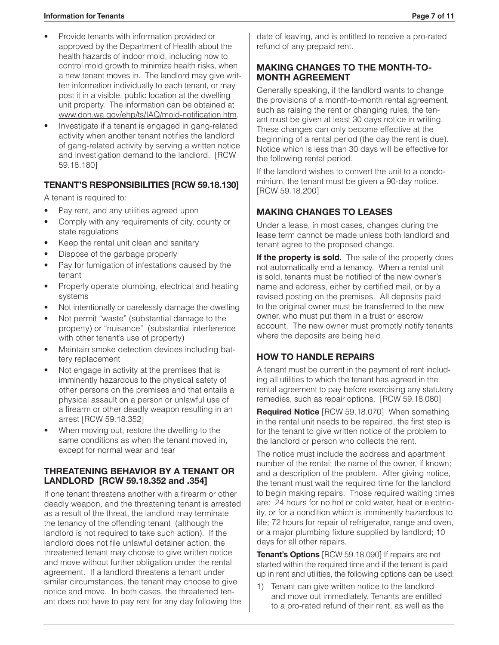#### **Information for Tenants Page 7 of 11**

- Provide tenants with information provided or approved by the Department of Health about the health hazards of indoor mold, including how to control mold growth to minimize health risks, when a new tenant moves in. The landlord may give written information individually to each tenant, or may post it in a visible, public location at the dwelling unit property. The information can be obtained at www.doh.wa.gov/ehp/ts/IAQ/mold-notification.htm.
- Investigate if a tenant is engaged in gang-related activity when another tenant notifies the landlord of gang-related activity by serving a written notice and investigation demand to the landlord. [RCW 59.18.180]

## **TENANT'S RESPONSIBILITIES [RCW 59.18.130]**

A tenant is required to:

- Pay rent, and any utilities agreed upon
- Comply with any requirements of city, county or state regulations
- Keep the rental unit clean and sanitary
- Dispose of the garbage properly
- Pay for fumigation of infestations caused by the tenant
- Properly operate plumbing, electrical and heating systems
- Not intentionally or carelessly damage the dwelling
- Not permit "waste" (substantial damage to the property) or "nuisance" (substantial interference with other tenant's use of property)
- Maintain smoke detection devices including battery replacement
- Not engage in activity at the premises that is imminently hazardous to the physical safety of other persons on the premises and that entails a physical assault on a person or unlawful use of a firearm or other deadly weapon resulting in an arrest [RCW 59.18.352]
- When moving out, restore the dwelling to the same conditions as when the tenant moved in, except for normal wear and tear

#### **THREATENING BEHAVIOR BY A TENANT OR LANDLORD [RCW 59.18.352 and .354]**

If one tenant threatens another with a firearm or other deadly weapon, and the threatening tenant is arrested as a result of the threat, the landlord may terminate the tenancy of the offending tenant (although the landlord is not required to take such action). If the landlord does not file unlawful detainer action, the threatened tenant may choose to give written notice and move without further obligation under the rental agreement. If a landlord threatens a tenant under similar circumstances, the tenant may choose to give notice and move. In both cases, the threatened tenant does not have to pay rent for any day following the

date of leaving, and is entitled to receive a pro-rated refund of any prepaid rent.

#### **MAKING CHANGES TO THE MONTH-TO-MONTH AGREEMENT**

Generally speaking, if the landlord wants to change the provisions of a month-to-month rental agreement, such as raising the rent or changing rules, the tenant must be given at least 30 days notice in writing. These changes can only become effective at the beginning of a rental period (the day the rent is due). Notice which is less than 30 days will be effective for the following rental period.

If the landlord wishes to convert the unit to a condominium, the tenant must be given a 90-day notice. [RCW 59.18.200]

## **MAKING CHANGES TO LEASES**

Under a lease, in most cases, changes during the lease term cannot be made unless both landlord and tenant agree to the proposed change.

If the property is sold. The sale of the property does not automatically end a tenancy. When a rental unit is sold, tenants must be notified of the new owner's name and address, either by certified mail, or by a revised posting on the premises. All deposits paid to the original owner must be transferred to the new owner, who must put them in a trust or escrow account. The new owner must promptly notify tenants where the deposits are being held.

## **HOW TO HANDLE REPAIRS**

A tenant must be current in the payment of rent including all utilities to which the tenant has agreed in the rental agreement to pay before exercising any statutory remedies, such as repair options. [RCW 59.18.080]

**Required Notice** [RCW 59.18.070] When something in the rental unit needs to be repaired, the first step is for the tenant to give written notice of the problem to the landlord or person who collects the rent.

The notice must include the address and apartment number of the rental; the name of the owner, if known; and a description of the problem. After giving notice, the tenant must wait the required time for the landlord to begin making repairs. Those required waiting times are: 24 hours for no hot or cold water, heat or electricity, or for a condition which is imminently hazardous to life; 72 hours for repair of refrigerator, range and oven, or a major plumbing fixture supplied by landlord; 10 days for all other repairs.

**Tenant's Options** [RCW 59.18.090] If repairs are not started within the required time and if the tenant is paid up in rent and utilities, the following options can be used:

1) Tenant can give written notice to the landlord and move out immediately. Tenants are entitled to a pro-rated refund of their rent, as well as the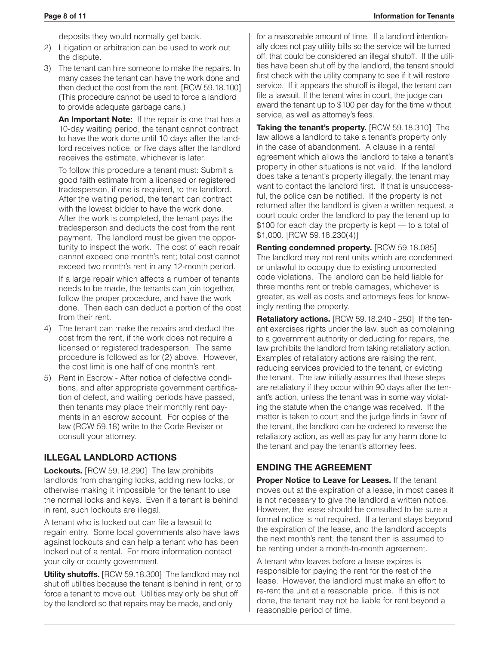deposits they would normally get back.

- 2) Litigation or arbitration can be used to work out the dispute.
- 3) The tenant can hire someone to make the repairs. In many cases the tenant can have the work done and then deduct the cost from the rent. [RCW 59.18.100] (This procedure cannot be used to force a landlord to provide adequate garbage cans.)

**An Important Note:** If the repair is one that has a 10-day waiting period, the tenant cannot contract to have the work done until 10 days after the landlord receives notice, or five days after the landlord receives the estimate, whichever is later.

 To follow this procedure a tenant must: Submit a good faith estimate from a licensed or registered tradesperson, if one is required, to the landlord. After the waiting period, the tenant can contract with the lowest bidder to have the work done. After the work is completed, the tenant pays the tradesperson and deducts the cost from the rent payment. The landlord must be given the opportunity to inspect the work. The cost of each repair cannot exceed one month's rent; total cost cannot exceed two month's rent in any 12-month period.

 If a large repair which affects a number of tenants needs to be made, the tenants can join together, follow the proper procedure, and have the work done. Then each can deduct a portion of the cost from their rent.

- 4) The tenant can make the repairs and deduct the cost from the rent, if the work does not require a licensed or registered tradesperson. The same procedure is followed as for (2) above. However, the cost limit is one half of one month's rent.
- 5) Rent in Escrow After notice of defective conditions, and after appropriate government certification of defect, and waiting periods have passed, then tenants may place their monthly rent payments in an escrow account. For copies of the law (RCW 59.18) write to the Code Reviser or consult your attorney.

## **ILLEGAL LANDLORD ACTIONS**

**Lockouts.** [RCW 59.18.290] The law prohibits landlords from changing locks, adding new locks, or otherwise making it impossible for the tenant to use the normal locks and keys. Even if a tenant is behind in rent, such lockouts are illegal.

A tenant who is locked out can file a lawsuit to regain entry. Some local governments also have laws against lockouts and can help a tenant who has been locked out of a rental. For more information contact your city or county government.

**Utility shutoffs.** [RCW 59.18.300] The landlord may not shut off utilities because the tenant is behind in rent, or to force a tenant to move out. Utilities may only be shut off by the landlord so that repairs may be made, and only

for a reasonable amount of time. If a landlord intentionally does not pay utility bills so the service will be turned off, that could be considered an illegal shutoff. If the utilities have been shut off by the landlord, the tenant should first check with the utility company to see if it will restore service. If it appears the shutoff is illegal, the tenant can file a lawsuit. If the tenant wins in court, the judge can award the tenant up to \$100 per day for the time without service, as well as attorney's fees.

**Taking the tenant's property.** [RCW 59.18.310] The law allows a landlord to take a tenant's property only in the case of abandonment. A clause in a rental agreement which allows the landlord to take a tenant's property in other situations is not valid. If the landlord does take a tenant's property illegally, the tenant may want to contact the landlord first. If that is unsuccessful, the police can be notified. If the property is not returned after the landlord is given a written request, a court could order the landlord to pay the tenant up to \$100 for each day the property is kept — to a total of \$1,000. [RCW 59.18.230(4)]

**Renting condemned property.** [RCW 59.18.085] The landlord may not rent units which are condemned or unlawful to occupy due to existing uncorrected code violations. The landlord can be held liable for three months rent or treble damages, whichever is greater, as well as costs and attorneys fees for knowingly renting the property.

**Retaliatory actions.** [RCW 59.18.240 -.250] If the tenant exercises rights under the law, such as complaining to a government authority or deducting for repairs, the law prohibits the landlord from taking retaliatory action. Examples of retaliatory actions are raising the rent, reducing services provided to the tenant, or evicting the tenant. The law initially assumes that these steps are retaliatory if they occur within 90 days after the tenant's action, unless the tenant was in some way violating the statute when the change was received. If the matter is taken to court and the judge finds in favor of the tenant, the landlord can be ordered to reverse the retaliatory action, as well as pay for any harm done to the tenant and pay the tenant's attorney fees.

## **ENDING THE AGREEMENT**

**Proper Notice to Leave for Leases.** If the tenant moves out at the expiration of a lease, in most cases it is not necessary to give the landlord a written notice. However, the lease should be consulted to be sure a formal notice is not required. If a tenant stays beyond the expiration of the lease, and the landlord accepts the next month's rent, the tenant then is assumed to be renting under a month-to-month agreement.

A tenant who leaves before a lease expires is responsible for paying the rent for the rest of the lease. However, the landlord must make an effort to re-rent the unit at a reasonable price. If this is not done, the tenant may not be liable for rent beyond a reasonable period of time.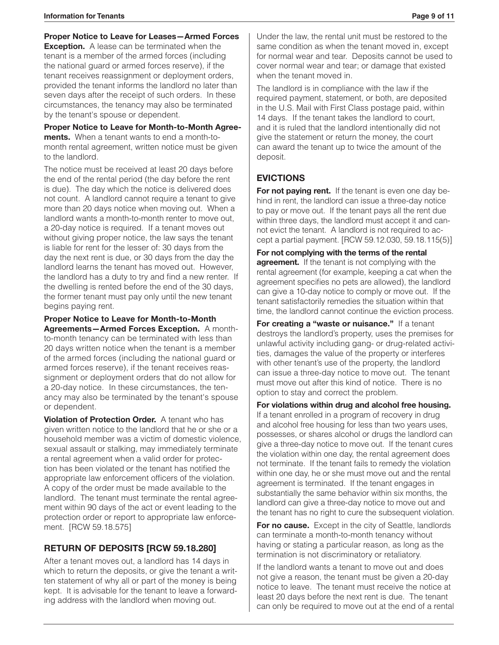**Proper Notice to Leave for Leases—Armed Forces** 

**Exception.** A lease can be terminated when the tenant is a member of the armed forces (including the national guard or armed forces reserve), if the tenant receives reassignment or deployment orders, provided the tenant informs the landlord no later than seven days after the receipt of such orders. In these circumstances, the tenancy may also be terminated by the tenant's spouse or dependent.

**Proper Notice to Leave for Month-to-Month Agreements.** When a tenant wants to end a month-tomonth rental agreement, written notice must be given to the landlord.

The notice must be received at least 20 days before the end of the rental period (the day before the rent is due). The day which the notice is delivered does not count. A landlord cannot require a tenant to give more than 20 days notice when moving out. When a landlord wants a month-to-month renter to move out, a 20-day notice is required. If a tenant moves out without giving proper notice, the law says the tenant is liable for rent for the lesser of: 30 days from the day the next rent is due, or 30 days from the day the landlord learns the tenant has moved out. However, the landlord has a duty to try and find a new renter. If the dwelling is rented before the end of the 30 days, the former tenant must pay only until the new tenant begins paying rent.

**Proper Notice to Leave for Month-to-Month Agreements—Armed Forces Exception.** A monthto-month tenancy can be terminated with less than 20 days written notice when the tenant is a member of the armed forces (including the national guard or armed forces reserve), if the tenant receives reassignment or deployment orders that do not allow for a 20-day notice. In these circumstances, the tenancy may also be terminated by the tenant's spouse or dependent.

**Violation of Protection Order.** A tenant who has given written notice to the landlord that he or she or a household member was a victim of domestic violence, sexual assault or stalking, may immediately terminate a rental agreement when a valid order for protection has been violated or the tenant has notified the appropriate law enforcement officers of the violation. A copy of the order must be made available to the landlord. The tenant must terminate the rental agreement within 90 days of the act or event leading to the protection order or report to appropriate law enforcement. [RCW 59.18.575]

## **RETURN OF DEPOSITS [RCW 59.18.280]**

After a tenant moves out, a landlord has 14 days in which to return the deposits, or give the tenant a written statement of why all or part of the money is being kept. It is advisable for the tenant to leave a forwarding address with the landlord when moving out.

Under the law, the rental unit must be restored to the same condition as when the tenant moved in, except for normal wear and tear. Deposits cannot be used to cover normal wear and tear; or damage that existed when the tenant moved in.

The landlord is in compliance with the law if the required payment, statement, or both, are deposited in the U.S. Mail with First Class postage paid, within 14 days. If the tenant takes the landlord to court, and it is ruled that the landlord intentionally did not give the statement or return the money, the court can award the tenant up to twice the amount of the deposit.

## **EVICTIONS**

**For not paying rent.** If the tenant is even one day behind in rent, the landlord can issue a three-day notice to pay or move out. If the tenant pays all the rent due within three days, the landlord must accept it and cannot evict the tenant. A landlord is not required to accept a partial payment. [RCW 59.12.030, 59.18.115(5)]

**For not complying with the terms of the rental agreement.** If the tenant is not complying with the rental agreement (for example, keeping a cat when the agreement specifies no pets are allowed), the landlord can give a 10-day notice to comply or move out. If the tenant satisfactorily remedies the situation within that time, the landlord cannot continue the eviction process.

**For creating a "waste or nuisance."** If a tenant destroys the landlord's property, uses the premises for unlawful activity including gang- or drug-related activities, damages the value of the property or interferes with other tenant's use of the property, the landlord can issue a three-day notice to move out. The tenant must move out after this kind of notice. There is no option to stay and correct the problem.

**For violations within drug and alcohol free housing.** If a tenant enrolled in a program of recovery in drug and alcohol free housing for less than two years uses, possesses, or shares alcohol or drugs the landlord can give a three-day notice to move out. If the tenant cures the violation within one day, the rental agreement does not terminate. If the tenant fails to remedy the violation within one day, he or she must move out and the rental agreement is terminated. If the tenant engages in substantially the same behavior within six months, the landlord can give a three-day notice to move out and the tenant has no right to cure the subsequent violation.

**For no cause.** Except in the city of Seattle, landlords can terminate a month-to-month tenancy without having or stating a particular reason, as long as the termination is not discriminatory or retaliatory.

If the landlord wants a tenant to move out and does not give a reason, the tenant must be given a 20-day notice to leave. The tenant must receive the notice at least 20 days before the next rent is due. The tenant can only be required to move out at the end of a rental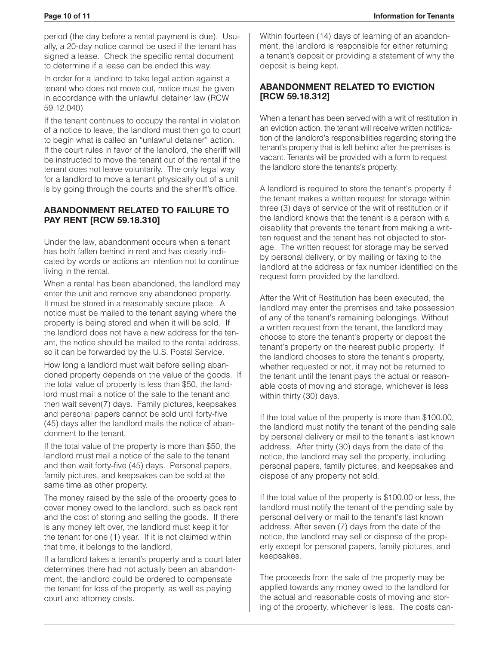period (the day before a rental payment is due). Usually, a 20-day notice cannot be used if the tenant has signed a lease. Check the specific rental document to determine if a lease can be ended this way.

In order for a landlord to take legal action against a tenant who does not move out, notice must be given in accordance with the unlawful detainer law (RCW 59.12.040).

If the tenant continues to occupy the rental in violation of a notice to leave, the landlord must then go to court to begin what is called an "unlawful detainer" action. If the court rules in favor of the landlord, the sheriff will be instructed to move the tenant out of the rental if the tenant does not leave voluntarily. The only legal way for a landlord to move a tenant physically out of a unit is by going through the courts and the sheriff's office.

#### **ABANDONMENT RELATED TO FAILURE TO PAY RENT [RCW 59.18.310]**

Under the law, abandonment occurs when a tenant has both fallen behind in rent and has clearly indicated by words or actions an intention not to continue living in the rental.

When a rental has been abandoned, the landlord may enter the unit and remove any abandoned property. It must be stored in a reasonably secure place. A notice must be mailed to the tenant saying where the property is being stored and when it will be sold. If the landlord does not have a new address for the tenant, the notice should be mailed to the rental address, so it can be forwarded by the U.S. Postal Service.

How long a landlord must wait before selling abandoned property depends on the value of the goods. If the total value of property is less than \$50, the landlord must mail a notice of the sale to the tenant and then wait seven(7) days. Family pictures, keepsakes and personal papers cannot be sold until forty-five (45) days after the landlord mails the notice of abandonment to the tenant.

If the total value of the property is more than \$50, the landlord must mail a notice of the sale to the tenant and then wait forty-five (45) days. Personal papers, family pictures, and keepsakes can be sold at the same time as other property.

The money raised by the sale of the property goes to cover money owed to the landlord, such as back rent and the cost of storing and selling the goods. If there is any money left over, the landlord must keep it for the tenant for one (1) year. If it is not claimed within that time, it belongs to the landlord.

If a landlord takes a tenant's property and a court later determines there had not actually been an abandonment, the landlord could be ordered to compensate the tenant for loss of the property, as well as paying court and attorney costs.

Within fourteen (14) days of learning of an abandonment, the landlord is responsible for either returning a tenant's deposit or providing a statement of why the deposit is being kept.

## **ABANDONMENT RELATED TO EVICTION [RCW 59.18.312]**

When a tenant has been served with a writ of restitution in an eviction action, the tenant will receive written notification of the landlord's responsibilities regarding storing the tenant's property that is left behind after the premises is vacant. Tenants will be provided with a form to request the landlord store the tenants's property.

A landlord is required to store the tenant's property if the tenant makes a written request for storage within three (3) days of service of the writ of restitution or if the landlord knows that the tenant is a person with a disability that prevents the tenant from making a written request and the tenant has not objected to storage. The written request for storage may be served by personal delivery, or by mailing or faxing to the landlord at the address or fax number identified on the request form provided by the landlord.

After the Writ of Restitution has been executed, the landlord may enter the premises and take possession of any of the tenant's remaining belongings. Without a written request from the tenant, the landlord may choose to store the tenant's property or deposit the tenant's property on the nearest public property. If the landlord chooses to store the tenant's property, whether requested or not, it may not be returned to the tenant until the tenant pays the actual or reasonable costs of moving and storage, whichever is less within thirty (30) days.

If the total value of the property is more than \$100.00, the landlord must notify the tenant of the pending sale by personal delivery or mail to the tenant's last known address. After thirty (30) days from the date of the notice, the landlord may sell the property, including personal papers, family pictures, and keepsakes and dispose of any property not sold.

If the total value of the property is \$100.00 or less, the landlord must notify the tenant of the pending sale by personal delivery or mail to the tenant's last known address. After seven (7) days from the date of the notice, the landlord may sell or dispose of the property except for personal papers, family pictures, and keepsakes.

The proceeds from the sale of the property may be applied towards any money owed to the landlord for the actual and reasonable costs of moving and storing of the property, whichever is less. The costs can-